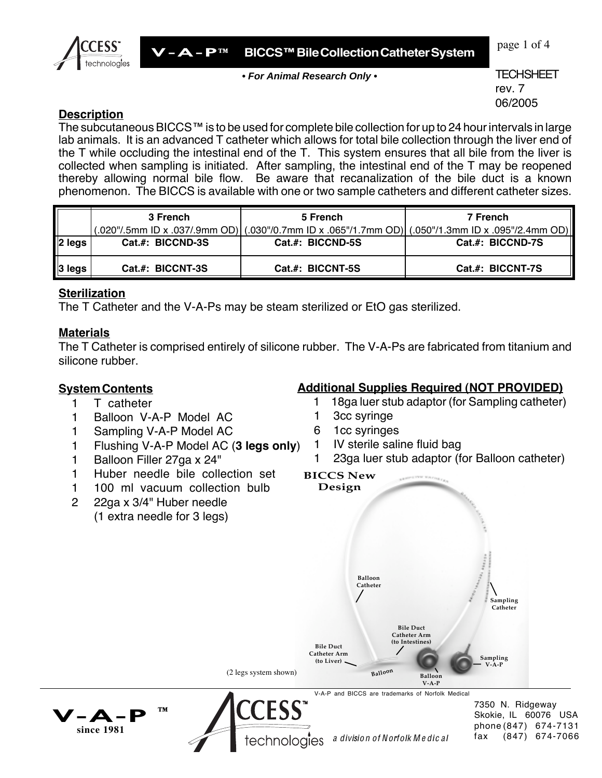

page 1 of 4

**• For Animal Research Only •**

**TECHSHEET** rev. 7 06/2005

### **Description**

The subcutaneous BICCS™ is to be used for complete bile collection for up to 24 hour intervals in large lab animals. It is an advanced T catheter which allows for total bile collection through the liver end of the T while occluding the intestinal end of the T. This system ensures that all bile from the liver is collected when sampling is initiated. After sampling, the intestinal end of the T may be reopened thereby allowing normal bile flow. Be aware that recanalization of the bile duct is a known phenomenon. The BICCS is available with one or two sample catheters and different catheter sizes.

|             | 3 French         | 5 French         | 7 French<br>[O20"/.5mm ID x .037/.9mm OD] (0.030"/0.7mm ID x .065"/1.7mm OD) (0.050"/1.3mm ID x .095"/2.4mm OD] ( |
|-------------|------------------|------------------|-------------------------------------------------------------------------------------------------------------------|
| $  2 $ legs | Cat.#: BICCND-3S | Cat.#: BICCND-5S | Cat.#: BICCND-7S                                                                                                  |
| ∥3 legs     | Cat.#: BICCNT-3S | Cat.#: BICCNT-5S | Cat.#: BICCNT-7S                                                                                                  |

### **Sterilization**

The T Catheter and the V-A-Ps may be steam sterilized or EtO gas sterilized.

## **Materials**

The T Catheter is comprised entirely of silicone rubber. The V-A-Ps are fabricated from titanium and silicone rubber.

### **SystemContents**

- 1 T catheter
- 1 Balloon V-A-P Model AC
- 1 Sampling V-A-P Model AC
- 1 Flushing V-A-P Model AC (**3 legs only**)
- 1 Balloon Filler 27ga x 24"
- 1 Huber needle bile collection set
- 1 100 ml vacuum collection bulb
- 2 22ga x 3/4" Huber needle (1 extra needle for 3 legs)

**™**

 $\mathbf{A}-\mathbf{A}$ **since 1981**

# **Additional Supplies Required (NOT PROVIDED)**

1 18ga luer stub adaptor (for Sampling catheter)

- 1 3cc syringe
- 6 1cc syringes
- 1 IV sterile saline fluid bag
- 1 23ga luer stub adaptor (for Balloon catheter)



7350 N. Ridgeway Skokie, IL 60076 USA phone (847) 674-7131 fax (847) 674-7066

technologies a division of Norfolk Medical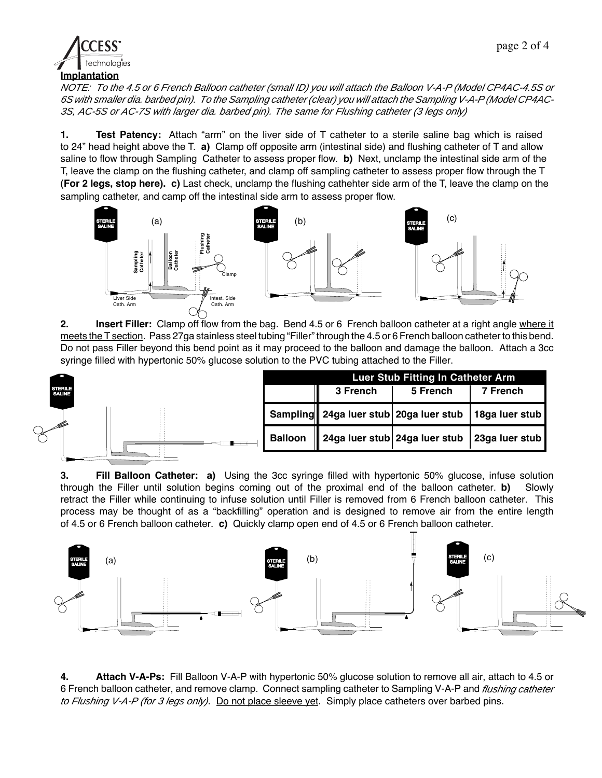

NOTE: To the 4.5 or 6 French Balloon catheter (small ID) you will attach the Balloon V-A-P (Model CP4AC-4.5S or 6S with smaller dia. barbed pin). To the Sampling catheter (clear) you will attach the Sampling V-A-P (Model CP4AC-3S, AC-5S or AC-7S with larger dia. barbed pin). The same for Flushing catheter (3 legs only)

**1. Test Patency:** Attach "arm" on the liver side of T catheter to a sterile saline bag which is raised to 24" head height above the T. **a)** Clamp off opposite arm (intestinal side) and flushing catheter of T and allow saline to flow through Sampling Catheter to assess proper flow. **b)** Next, unclamp the intestinal side arm of the T, leave the clamp on the flushing catheter, and clamp off sampling catheter to assess proper flow through the T **(For 2 legs, stop here). c)** Last check, unclamp the flushing cathehter side arm of the T, leave the clamp on the sampling catheter, and camp off the intestinal side arm to assess proper flow.



**2. Insert Filler:** Clamp off flow from the bag. Bend 4.5 or 6 French balloon catheter at a right angle where it meets the T section. Pass 27ga stainless steel tubing "Filler" through the 4.5 or 6 French balloon catheter to this bend. Do not pass Filler beyond this bend point as it may proceed to the balloon and damage the balloon. Attach a 3cc syringe filled with hypertonic 50% glucose solution to the PVC tubing attached to the Filler.



**3. Fill Balloon Catheter: a)** Using the 3cc syringe filled with hypertonic 50% glucose, infuse solution through the Filler until solution begins coming out of the proximal end of the balloon catheter. **b)** Slowly retract the Filler while continuing to infuse solution until Filler is removed from 6 French balloon catheter. This process may be thought of as a "backfilling" operation and is designed to remove air from the entire length of 4.5 or 6 French balloon catheter. **c)** Quickly clamp open end of 4.5 or 6 French balloon catheter.



**4. Attach V-A-Ps:** Fill Balloon V-A-P with hypertonic 50% glucose solution to remove all air, attach to 4.5 or 6 French balloon catheter, and remove clamp. Connect sampling catheter to Sampling V-A-P and flushing catheter to Flushing V-A-P (for 3 legs only). Do not place sleeve yet. Simply place catheters over barbed pins.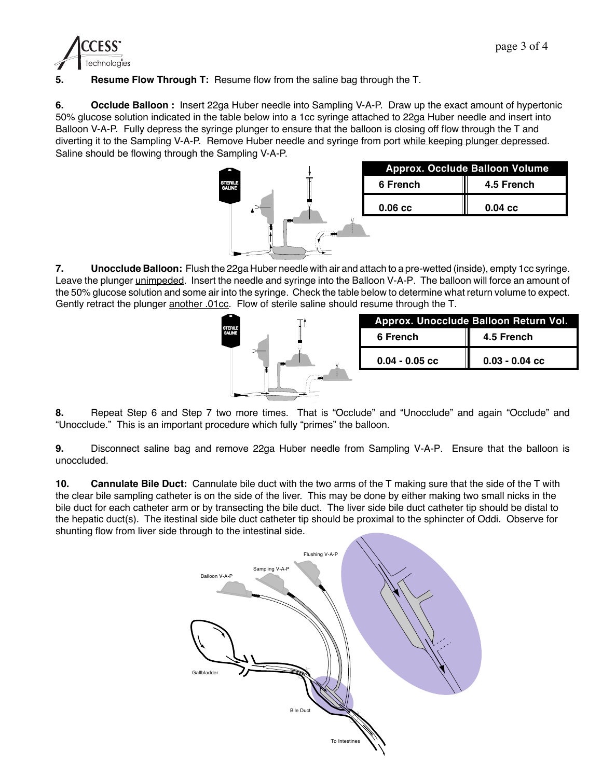

**5. Resume Flow Through T:** Resume flow from the saline bag through the T.

**6. Occlude Balloon :** Insert 22ga Huber needle into Sampling V-A-P. Draw up the exact amount of hypertonic 50% glucose solution indicated in the table below into a 1cc syringe attached to 22ga Huber needle and insert into Balloon V-A-P. Fully depress the syringe plunger to ensure that the balloon is closing off flow through the T and diverting it to the Sampling V-A-P. Remove Huber needle and syringe from port while keeping plunger depressed. Saline should be flowing through the Sampling V-A-P.



|           | <b>Approx. Occlude Balloon Volume</b> |  |
|-----------|---------------------------------------|--|
| 6 French  | 4.5 French                            |  |
| $0.06$ cc | $0.04 \text{ cc}$                     |  |

**7. Unocclude Balloon:** Flush the 22ga Huber needle with air and attach to a pre-wetted (inside), empty 1cc syringe. Leave the plunger unimpeded. Insert the needle and syringe into the Balloon V-A-P. The balloon will force an amount of the 50% glucose solution and some air into the syringe. Check the table below to determine what return volume to expect. Gently retract the plunger another .01cc. Flow of sterile saline should resume through the T.



| Approx. Unocclude Balloon Return Vol. |                  |  |
|---------------------------------------|------------------|--|
| 6 French                              | 4.5 French       |  |
| $0.04 - 0.05$ cc                      | $0.03 - 0.04$ cc |  |

**8.** Repeat Step 6 and Step 7 two more times. That is "Occlude" and "Unocclude" and again "Occlude" and "Unocclude." This is an important procedure which fully "primes" the balloon.

**9.** Disconnect saline bag and remove 22ga Huber needle from Sampling V-A-P. Ensure that the balloon is unoccluded.

**10. Cannulate Bile Duct:** Cannulate bile duct with the two arms of the T making sure that the side of the T with the clear bile sampling catheter is on the side of the liver. This may be done by either making two small nicks in the bile duct for each catheter arm or by transecting the bile duct. The liver side bile duct catheter tip should be distal to the hepatic duct(s). The itestinal side bile duct catheter tip should be proximal to the sphincter of Oddi. Observe for shunting flow from liver side through to the intestinal side.